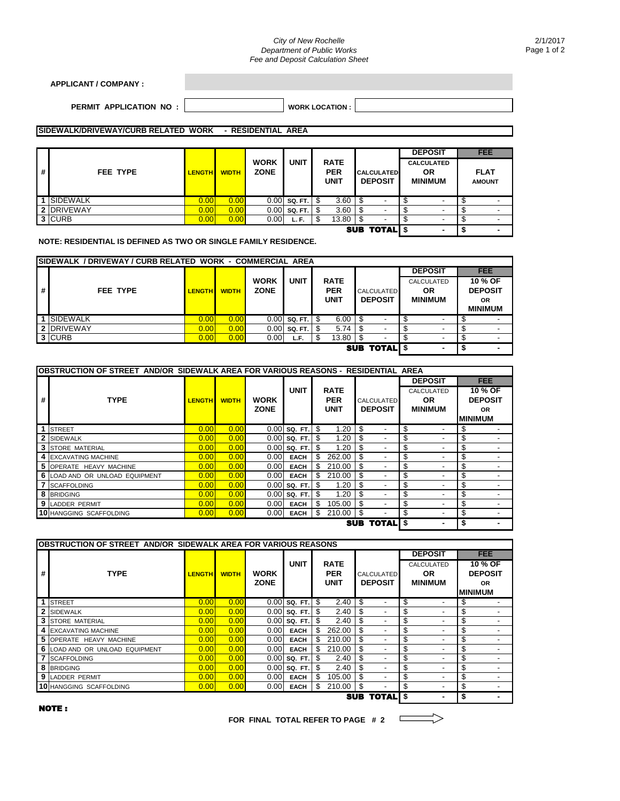## *City of New Rochelle Department of Public Works Fee and Deposit Calculation Sheet*

| <b>APPLICANT / COMPANY :</b> |  |  |
|------------------------------|--|--|
|                              |  |  |

## **PERMIT APPLICATION NO : |**  $\hspace{1cm}$  **WORK LOCATION :**

## **SIDEWALK/DRIVEWAY/CURB RELATED WORK - RESIDENTIAL AREA**

|                    |            |                   |              |                            |             |   |                                   | <b>DEPOSIT</b> | <b>FEE</b>               |  |                |                          |  |  |  |  |  |  |  |  |  |  |  |  |  |  |  |  |  |  |  |  |  |  |  |  |  |  |  |  |                                     |  |                                                  |                              |
|--------------------|------------|-------------------|--------------|----------------------------|-------------|---|-----------------------------------|----------------|--------------------------|--|----------------|--------------------------|--|--|--|--|--|--|--|--|--|--|--|--|--|--|--|--|--|--|--|--|--|--|--|--|--|--|--|--|-------------------------------------|--|--------------------------------------------------|------------------------------|
| #                  | FEE TYPE   | <b>LENGTH</b>     | <b>WIDTH</b> | <b>WORK</b><br><b>ZONE</b> | <b>UNIT</b> |   | <b>RATE</b><br><b>PER</b><br>UNIT |                |                          |  |                |                          |  |  |  |  |  |  |  |  |  |  |  |  |  |  |  |  |  |  |  |  |  |  |  |  |  |  |  |  | <b>CALCULATED</b><br><b>DEPOSIT</b> |  | <b>CALCULATED</b><br><b>OR</b><br><b>MINIMUM</b> | <b>FLAT</b><br><b>AMOUNT</b> |
|                    | 1 SIDEWALK | 0.00 <sub>l</sub> | 0.00         | 0.00                       | SQ. FT.     | S | 3.60                              |                | $\overline{\phantom{a}}$ |  |                |                          |  |  |  |  |  |  |  |  |  |  |  |  |  |  |  |  |  |  |  |  |  |  |  |  |  |  |  |  |                                     |  |                                                  |                              |
|                    | 2 DRIVEWAY | 0.00              | 0.00         | 0.00                       | SQ. FT.     | S | 3.60                              | ъ              | $\overline{\phantom{0}}$ |  |                | $\overline{\phantom{a}}$ |  |  |  |  |  |  |  |  |  |  |  |  |  |  |  |  |  |  |  |  |  |  |  |  |  |  |  |  |                                     |  |                                                  |                              |
|                    | 3 CURB     | 0.00              | 0.00         | 0.00                       | L.F.        |   | 13.80                             | S              | $\overline{\phantom{a}}$ |  | -              | $\overline{\phantom{a}}$ |  |  |  |  |  |  |  |  |  |  |  |  |  |  |  |  |  |  |  |  |  |  |  |  |  |  |  |  |                                     |  |                                                  |                              |
| <b>SUB TOTALIS</b> |            |                   |              |                            |             |   |                                   |                |                          |  | $\blacksquare$ | $\blacksquare$           |  |  |  |  |  |  |  |  |  |  |  |  |  |  |  |  |  |  |  |  |  |  |  |  |  |  |  |  |                                     |  |                                                  |                              |

**NOTE: RESIDENTIAL IS DEFINED AS TWO OR SINGLE FAMILY RESIDENCE.**

|                    | <b>ISIDEWALK / DRIVEWAY / CURB RELATED WORK - COMMERCIAL AREA</b> |                   |              |                            |                |   |                                          |  |  |  |                |  |                          |  |  |  |  |  |  |  |  |  |  |  |  |  |  |  |                              |  |                                    |  |                                                   |
|--------------------|-------------------------------------------------------------------|-------------------|--------------|----------------------------|----------------|---|------------------------------------------|--|--|--|----------------|--|--------------------------|--|--|--|--|--|--|--|--|--|--|--|--|--|--|--|------------------------------|--|------------------------------------|--|---------------------------------------------------|
|                    |                                                                   |                   |              |                            |                |   |                                          |  |  |  | <b>DEPOSIT</b> |  | <b>FEE</b>               |  |  |  |  |  |  |  |  |  |  |  |  |  |  |  |                              |  |                                    |  |                                                   |
| #                  | FEE TYPE                                                          | <b>LENGTH</b>     | <b>WIDTH</b> | <b>WORK</b><br><b>ZONE</b> | <b>UNIT</b>    |   | <b>RATE</b><br><b>PER</b><br><b>UNIT</b> |  |  |  |                |  |                          |  |  |  |  |  |  |  |  |  |  |  |  |  |  |  | CALCULATED<br><b>DEPOSIT</b> |  | CALCULATED<br>OR<br><b>MINIMUM</b> |  | 10 % OF<br><b>DEPOSIT</b><br>OR<br><b>MINIMUM</b> |
|                    | 1 SIDEWALK                                                        | 0.00 <sub>l</sub> | 0.00         |                            | $0.00$ SQ, FT. | S | 6.00                                     |  |  |  |                |  |                          |  |  |  |  |  |  |  |  |  |  |  |  |  |  |  |                              |  |                                    |  |                                                   |
|                    | 2 DRIVEWAY                                                        | 0.001             | 0.00         | 0.00                       | SQ. FT.        | S | 5.74                                     |  |  |  |                |  |                          |  |  |  |  |  |  |  |  |  |  |  |  |  |  |  |                              |  |                                    |  |                                                   |
|                    | 3 CURB                                                            | 0.001             | 0.00         | 0.00                       | L.F.           | S | 13.80                                    |  |  |  |                |  |                          |  |  |  |  |  |  |  |  |  |  |  |  |  |  |  |                              |  |                                    |  |                                                   |
| <b>SUB TOTALIS</b> |                                                                   |                   |              |                            |                |   |                                          |  |  |  |                |  | $\overline{\phantom{0}}$ |  |  |  |  |  |  |  |  |  |  |  |  |  |  |  |                              |  |                                    |  |                                                   |

|   | IOBSTRUCTION OF STREET  AND/OR  SIDEWALK AREA FOR VARIOUS REASONS -  RESIDENTIAL  AREA |                   |              |                            |                |     |                                          |            |                          |    |                                     |    |                                           |  |                                                          |
|---|----------------------------------------------------------------------------------------|-------------------|--------------|----------------------------|----------------|-----|------------------------------------------|------------|--------------------------|----|-------------------------------------|----|-------------------------------------------|--|----------------------------------------------------------|
|   |                                                                                        |                   |              |                            |                |     | <b>RATE</b><br><b>PER</b><br><b>UNIT</b> |            |                          |    |                                     |    | <b>DEPOSIT</b>                            |  | <b>FEE</b>                                               |
| # | <b>TYPE</b>                                                                            | <b>LENGTH</b>     | <b>WIDTH</b> | <b>WORK</b><br><b>ZONE</b> | <b>UNIT</b>    |     |                                          |            |                          |    | <b>CALCULATED</b><br><b>DEPOSIT</b> |    | CALCULATED<br><b>OR</b><br><b>MINIMUM</b> |  | 10 % OF<br><b>DEPOSIT</b><br><b>OR</b><br><b>MINIMUM</b> |
|   | 1 STREET                                                                               | 0.00 <sub>l</sub> | 0.00         |                            | $0.00$ SQ. FT. | \$  | 1.20                                     | \$         | $\overline{\phantom{a}}$ | \$ |                                     | \$ |                                           |  |                                                          |
|   | 2 SIDEWALK                                                                             | 0.001             | 0.00         |                            | $0.00$ sq. FT. | S   | 1.20                                     | \$         | ٠                        | \$ |                                     | \$ |                                           |  |                                                          |
|   | <b>3 STORE MATERIAL</b>                                                                | 0.00 <sub>l</sub> | 0.00         |                            | $0.00$ sq. FT. | S   | 1.20                                     | \$         | ٠                        | \$ |                                     |    |                                           |  |                                                          |
|   | 4 EXCAVATING MACHINE                                                                   | 0.00 <sub>l</sub> | 0.00         | 0.00                       | <b>EACH</b>    | \$  | 262.00                                   |            | $\overline{\phantom{a}}$ | \$ | ۰                                   | \$ | -                                         |  |                                                          |
|   | 5 OPERATE HEAVY MACHINE                                                                | 0.00              | 0.00         | 0.00                       | <b>EACH</b>    | \$. | 210.00                                   | \$.        | $\overline{\phantom{a}}$ | \$ |                                     | \$ |                                           |  |                                                          |
|   | 6 LOAD AND OR UNLOAD EQUIPMENT                                                         | 0.00 <sub>l</sub> | 0.00         | 0.00                       | <b>EACH</b>    |     | 210.00                                   | \$         | $\overline{\phantom{a}}$ | \$ | -                                   | \$ |                                           |  |                                                          |
|   | <b>7 SCAFFOLDING</b>                                                                   | 0.00 <sub>l</sub> | 0.00         |                            | $0.00$ SQ. FT. | S   | 1.20                                     | \$         | $\overline{\phantom{a}}$ | \$ |                                     | \$ |                                           |  |                                                          |
|   | <b>8 BRIDGING</b>                                                                      | 0.001             | 0.00         |                            | $0.00$ sq. FT. | \$  | 1.20                                     | \$         |                          | \$ |                                     | \$ |                                           |  |                                                          |
|   | <b>9 LADDER PERMIT</b>                                                                 | 0.00 <sub>l</sub> | 0.00         | 0.00                       | <b>EACH</b>    | \$. | 105.00                                   | \$         | $\overline{\phantom{a}}$ | \$ |                                     | \$ | -                                         |  |                                                          |
|   | <b>10 HANGGING SCAFFOLDING</b>                                                         | 0.00 <sub>l</sub> | 0.00         | 0.00                       | <b>EACH</b>    | \$. | 210.00                                   | \$         |                          | \$ |                                     | \$ |                                           |  |                                                          |
|   |                                                                                        |                   |              |                            |                |     |                                          | <b>SUB</b> | <b>TOTALIS</b>           |    |                                     |    |                                           |  |                                                          |

|   | <b>OBSTRUCTION OF STREET AND/OR SIDEWALK AREA FOR VARIOUS REASONS</b> |               |              |                            |                              |      |                                          |            |                |    |                                     |    |                                           |  |                                        |
|---|-----------------------------------------------------------------------|---------------|--------------|----------------------------|------------------------------|------|------------------------------------------|------------|----------------|----|-------------------------------------|----|-------------------------------------------|--|----------------------------------------|
|   |                                                                       |               |              |                            |                              |      |                                          |            |                |    | <b>DEPOSIT</b>                      |    | <b>FEE</b>                                |  |                                        |
| # | <b>TYPE</b>                                                           | <b>LENGTH</b> | <b>WIDTH</b> | <b>WORK</b><br><b>ZONE</b> | <b>UNIT</b>                  |      | <b>RATE</b><br><b>PER</b><br><b>UNIT</b> |            |                |    | <b>CALCULATED</b><br><b>DEPOSIT</b> |    | CALCULATED<br><b>OR</b><br><b>MINIMUM</b> |  | 10 % OF<br><b>DEPOSIT</b><br><b>OR</b> |
|   |                                                                       |               |              |                            |                              |      |                                          |            |                |    |                                     |    | <b>MINIMUM</b>                            |  |                                        |
|   | <b>STREET</b>                                                         | 0.00          | 0.00         | 0.00                       | SQ. FT.                      | - \$ | 2.40                                     | \$         | -              | \$ | $\overline{\phantom{a}}$            | \$ |                                           |  |                                        |
|   | 2 SIDEWALK                                                            | 0.00          | 0.00         |                            | $0.00$ sq. FT. $\frac{1}{3}$ |      | 2.40                                     | \$         | ٠              | \$ | $\overline{\phantom{a}}$            | \$ |                                           |  |                                        |
|   | <b>3 STORE MATERIAL</b>                                               | 0.00          | 0.00         |                            | $0.00$ sq. FT.               | - \$ | 2.40                                     | \$         | ٠              | \$ | $\overline{\phantom{a}}$            | \$ |                                           |  |                                        |
|   | 4 EXCAVATING MACHINE                                                  | 0.00          | 0.00         | 0.00                       | <b>EACH</b>                  | \$   | 262.00                                   | \$         | -              | \$ | $\overline{\phantom{a}}$            | \$ |                                           |  |                                        |
|   | 5 OPERATE HEAVY MACHINE                                               | 0.00          | 0.00         | 0.00                       | <b>EACH</b>                  | \$   | 210.00                                   | \$         |                | \$ | $\overline{\phantom{a}}$            | \$ |                                           |  |                                        |
|   | 6 LOAD AND OR UNLOAD EQUIPMENT                                        | 0.00          | 0.00         | 0.00                       | <b>EACH</b>                  | \$   | 210.00                                   | \$         | -              | \$ | $\overline{\phantom{a}}$            | \$ |                                           |  |                                        |
|   | <b>7 SCAFFOLDING</b>                                                  | 0.00          | 0.00         | 0.00                       | SQ. FT.                      | -\$  | 2.40                                     | \$         | -              | \$ | $\overline{\phantom{a}}$            | \$ |                                           |  |                                        |
|   | 8 BRIDGING                                                            | 0.00          | 0.00         |                            | $0.00$ sq. FT.               | -\$  | 2.40                                     | \$         | ٠              | \$ | $\overline{\phantom{a}}$            | \$ |                                           |  |                                        |
|   | 9 LADDER PERMIT                                                       | 0.00          | 0.00         | 0.00                       | <b>EACH</b>                  | \$   | 105.00                                   | \$         | -              | \$ | $\overline{\phantom{a}}$            | \$ |                                           |  |                                        |
|   | <b>10 HANGGING SCAFFOLDING</b>                                        | 0.00          | 0.00         | 0.00                       | <b>EACH</b>                  | \$   | 210.00                                   | \$         | ٠              | \$ | $\overline{\phantom{a}}$            | \$ |                                           |  |                                        |
|   |                                                                       |               |              |                            |                              |      |                                          | <b>SUB</b> | <b>TOTALIS</b> |    |                                     |    |                                           |  |                                        |

NOTE :

**FOR FINAL TOTAL REFER TO PAGE # 2**